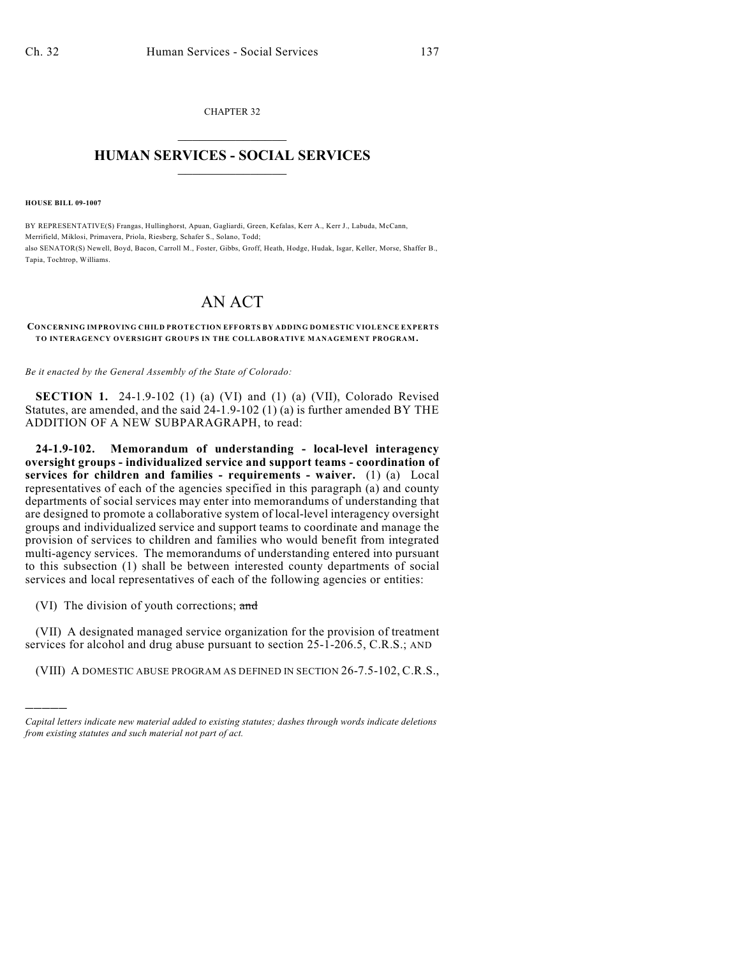CHAPTER 32  $\mathcal{L}_\text{max}$  . The set of the set of the set of the set of the set of the set of the set of the set of the set of the set of the set of the set of the set of the set of the set of the set of the set of the set of the set

## **HUMAN SERVICES - SOCIAL SERVICES**  $\frac{1}{2}$  ,  $\frac{1}{2}$  ,  $\frac{1}{2}$  ,  $\frac{1}{2}$  ,  $\frac{1}{2}$  ,  $\frac{1}{2}$  ,  $\frac{1}{2}$

**HOUSE BILL 09-1007**

)))))

BY REPRESENTATIVE(S) Frangas, Hullinghorst, Apuan, Gagliardi, Green, Kefalas, Kerr A., Kerr J., Labuda, McCann, Merrifield, Miklosi, Primavera, Priola, Riesberg, Schafer S., Solano, Todd; also SENATOR(S) Newell, Boyd, Bacon, Carroll M., Foster, Gibbs, Groff, Heath, Hodge, Hudak, Isgar, Keller, Morse, Shaffer B., Tapia, Tochtrop, Williams.

## AN ACT

## **CONCERNING IMPROVING CHILD PROTECTION EFFORTS BY ADDING DOMESTIC VIOLENCE EXPERTS TO INTERAGENCY OVERSIGHT GROUPS IN THE COLLABORATIVE MANAGEMENT PROGRAM.**

*Be it enacted by the General Assembly of the State of Colorado:*

**SECTION 1.** 24-1.9-102 (1) (a) (VI) and (1) (a) (VII), Colorado Revised Statutes, are amended, and the said 24-1.9-102 (1) (a) is further amended BY THE ADDITION OF A NEW SUBPARAGRAPH, to read:

**24-1.9-102. Memorandum of understanding - local-level interagency oversight groups - individualized service and support teams - coordination of services for children and families - requirements - waiver.** (1) (a) Local representatives of each of the agencies specified in this paragraph (a) and county departments of social services may enter into memorandums of understanding that are designed to promote a collaborative system of local-level interagency oversight groups and individualized service and support teams to coordinate and manage the provision of services to children and families who would benefit from integrated multi-agency services. The memorandums of understanding entered into pursuant to this subsection (1) shall be between interested county departments of social services and local representatives of each of the following agencies or entities:

(VI) The division of youth corrections; and

(VII) A designated managed service organization for the provision of treatment services for alcohol and drug abuse pursuant to section 25-1-206.5, C.R.S.; AND

(VIII) A DOMESTIC ABUSE PROGRAM AS DEFINED IN SECTION 26-7.5-102, C.R.S.,

*Capital letters indicate new material added to existing statutes; dashes through words indicate deletions from existing statutes and such material not part of act.*